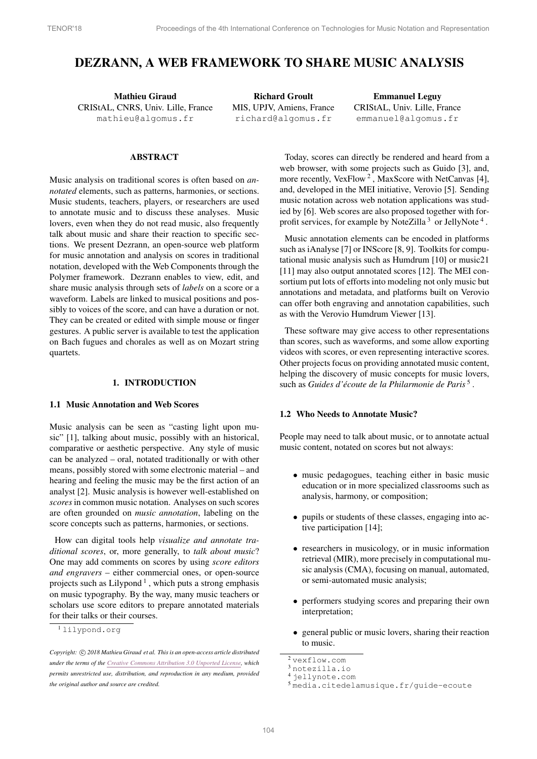# DEZRANN, A WEB FRAMEWORK TO SHARE MUSIC ANALYSIS

Mathieu Giraud CRIStAL, CNRS, Univ. Lille, France [mathieu@algomus.fr](mailto:mathieu@algomus.fr)

Richard Groult MIS, UPJV, Amiens, France [richard@algomus.fr](mailto:richard@algomus.fr)

Emmanuel Leguy CRIStAL, Univ. Lille, France [emmanuel@algomus.fr](mailto:emmanuel@algomus.fr)

# ABSTRACT

Music analysis on traditional scores is often based on *annotated* elements, such as patterns, harmonies, or sections. Music students, teachers, players, or researchers are used to annotate music and to discuss these analyses. Music lovers, even when they do not read music, also frequently talk about music and share their reaction to specific sections. We present Dezrann, an open-source web platform for music annotation and analysis on scores in traditional notation, developed with the Web Components through the Polymer framework. Dezrann enables to view, edit, and share music analysis through sets of *labels* on a score or a waveform. Labels are linked to musical positions and possibly to voices of the score, and can have a duration or not. They can be created or edited with simple mouse or finger gestures. A public server is available to test the application on Bach fugues and chorales as well as on Mozart string quartets.

# 1. INTRODUCTION

#### 1.1 Music Annotation and Web Scores

Music analysis can be seen as "casting light upon music" [\[1\]](#page-6-0), talking about music, possibly with an historical, comparative or aesthetic perspective. Any style of music can be analyzed – oral, notated traditionally or with other means, possibly stored with some electronic material – and hearing and feeling the music may be the first action of an analyst [\[2\]](#page-6-1). Music analysis is however well-established on *scores*in common music notation. Analyses on such scores are often grounded on *music annotation*, labeling on the score concepts such as patterns, harmonies, or sections.

How can digital tools help *visualize and annotate traditional scores*, or, more generally, to *talk about music*? One may add comments on scores by using *score editors and engravers* – either commercial ones, or open-source projects such as Lilypond<sup>[1](#page-0-0)</sup>, which puts a strong emphasis on music typography. By the way, many music teachers or scholars use score editors to prepare annotated materials for their talks or their courses.

Today, scores can directly be rendered and heard from a web browser, with some projects such as Guido [\[3\]](#page-6-2), and, more recently,  $VexFlow<sup>2</sup>$  $VexFlow<sup>2</sup>$  $VexFlow<sup>2</sup>$ , MaxScore with NetCanvas [\[4\]](#page-6-3), and, developed in the MEI initiative, Verovio [\[5\]](#page-6-4). Sending music notation across web notation applications was studied by [\[6\]](#page-6-5). Web scores are also proposed together with for-profit services, for example by NoteZilla<sup>[3](#page-0-2)</sup> or JellyNote<sup>[4](#page-0-3)</sup>.

Music annotation elements can be encoded in platforms such as iAnalyse [\[7\]](#page-6-6) or INScore [\[8,](#page-6-7) [9\]](#page-6-8). Toolkits for computational music analysis such as Humdrum [\[10\]](#page-6-9) or music21 [\[11\]](#page-6-10) may also output annotated scores [\[12\]](#page-6-11). The MEI consortium put lots of efforts into modeling not only music but annotations and metadata, and platforms built on Verovio can offer both engraving and annotation capabilities, such as with the Verovio Humdrum Viewer [\[13\]](#page-6-12).

These software may give access to other representations than scores, such as waveforms, and some allow exporting videos with scores, or even representing interactive scores. Other projects focus on providing annotated music content, helping the discovery of music concepts for music lovers, such as *Guides d'écoute de la Philarmonie de Paris*<sup>[5](#page-0-4)</sup>.

# 1.2 Who Needs to Annotate Music?

People may need to talk about music, or to annotate actual music content, notated on scores but not always:

- music pedagogues, teaching either in basic music education or in more specialized classrooms such as analysis, harmony, or composition;
- *•* pupils or students of these classes, engaging into active participation [\[14\]](#page-6-13);
- *•* researchers in musicology, or in music information retrieval (MIR), more precisely in computational music analysis (CMA), focusing on manual, automated, or semi-automated music analysis;
- performers studying scores and preparing their own interpretation;
- *•* general public or music lovers, sharing their reaction to music.

<span id="page-0-0"></span><sup>1</sup> [lilypond.org](http://lilypond.org)

*Copyright:*  $\bigcirc$  2018 Mathieu Giraud et al. This is an open-access article distributed *under the terms of the Creative Commons [Attribution](http://creativecommons.org/licenses/by/3.0/) 3.0 Unported License, which permits unrestricted use, distribution, and reproduction in any medium, provided the original author and source are credited.*

<span id="page-0-1"></span><sup>2</sup> [vexflow.com](http://vexflow.com)

<span id="page-0-2"></span><sup>3</sup> [notezilla.io](http://notezilla.io)

<span id="page-0-3"></span><sup>4</sup> [jellynote.com](http://jellynote.com)

<span id="page-0-4"></span><sup>5</sup> [media.citedelamusique.fr/guide-ecoute](http://media.citedelamusique.fr/guide-ecoute)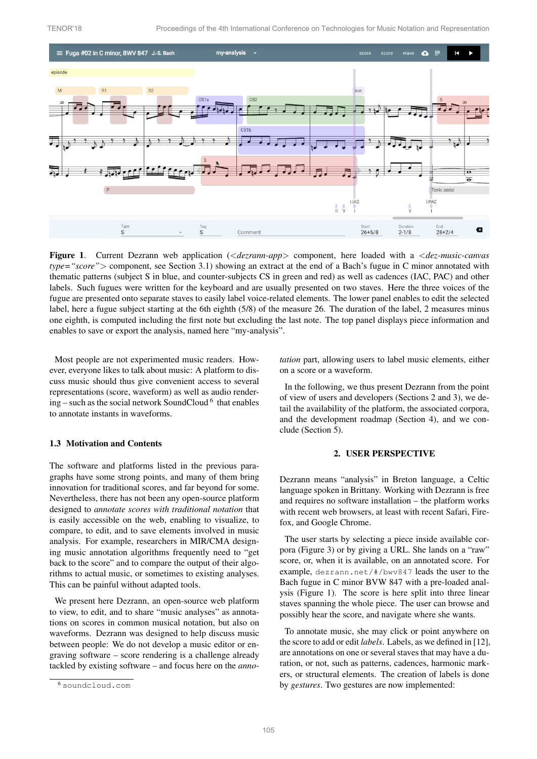

<span id="page-1-2"></span>Figure 1. Current Dezrann web application (*<dezrann-app>* component, here loaded with a *<dez-music-canvas type="score">* component, see Section [3.1\)](#page-2-0) showing an extract at the end of a Bach's fugue in C minor annotated with thematic patterns (subject S in blue, and counter-subjects CS in green and red) as well as cadences (IAC, PAC) and other labels. Such fugues were written for the keyboard and are usually presented on two staves. Here the three voices of the fugue are presented onto separate staves to easily label voice-related elements. The lower panel enables to edit the selected label, here a fugue subject starting at the 6th eighth (5/8) of the measure 26. The duration of the label, 2 measures minus one eighth, is computed including the first note but excluding the last note. The top panel displays piece information and enables to save or export the analysis, named here "my-analysis".

Most people are not experimented music readers. However, everyone likes to talk about music: A platform to discuss music should thus give convenient access to several representations (score, waveform) as well as audio rendering – such as the social network SoundCloud  $6$  that enables to annotate instants in waveforms.

#### 1.3 Motivation and Contents

The software and platforms listed in the previous paragraphs have some strong points, and many of them bring innovation for traditional scores, and far beyond for some. Nevertheless, there has not been any open-source platform designed to *annotate scores with traditional notation* that is easily accessible on the web, enabling to visualize, to compare, to edit, and to save elements involved in music analysis. For example, researchers in MIR/CMA designing music annotation algorithms frequently need to "get back to the score" and to compare the output of their algorithms to actual music, or sometimes to existing analyses. This can be painful without adapted tools.

We present here Dezrann, an open-source web platform to view, to edit, and to share "music analyses" as annotations on scores in common musical notation, but also on waveforms. Dezrann was designed to help discuss music between people: We do not develop a music editor or engraving software – score rendering is a challenge already tackled by existing software – and focus here on the *anno-* *tation* part, allowing users to label music elements, either on a score or a waveform.

In the following, we thus present Dezrann from the point of view of users and developers (Sections [2](#page-1-1) and [3\)](#page-2-1), we detail the availability of the platform, the associated corpora, and the development roadmap (Section [4\)](#page-4-0), and we conclude (Section [5\)](#page-5-0).

# 2. USER PERSPECTIVE

<span id="page-1-1"></span>Dezrann means "analysis" in Breton language, a Celtic language spoken in Brittany. Working with Dezrann is free and requires no software installation – the platform works with recent web browsers, at least with recent Safari, Firefox, and Google Chrome.

The user starts by selecting a piece inside available corpora (Figure [3\)](#page-2-2) or by giving a URL. She lands on a "raw" score, or, when it is available, on an annotated score. For example, [dezrann.net/#/bwv847](http://dezrann.net/#/bwv847) leads the user to the Bach fugue in C minor BVW 847 with a pre-loaded analysis (Figure [1\)](#page-1-2). The score is here split into three linear staves spanning the whole piece. The user can browse and possibly hear the score, and navigate where she wants.

To annotate music, she may click or point anywhere on the score to add or edit *labels*. Labels, as we defined in [\[12\]](#page-6-11), are annotations on one or several staves that may have a duration, or not, such as patterns, cadences, harmonic markers, or structural elements. The creation of labels is done by *gestures*. Two gestures are now implemented:

<span id="page-1-0"></span><sup>6</sup> [soundcloud.com](http://soundcloud.com)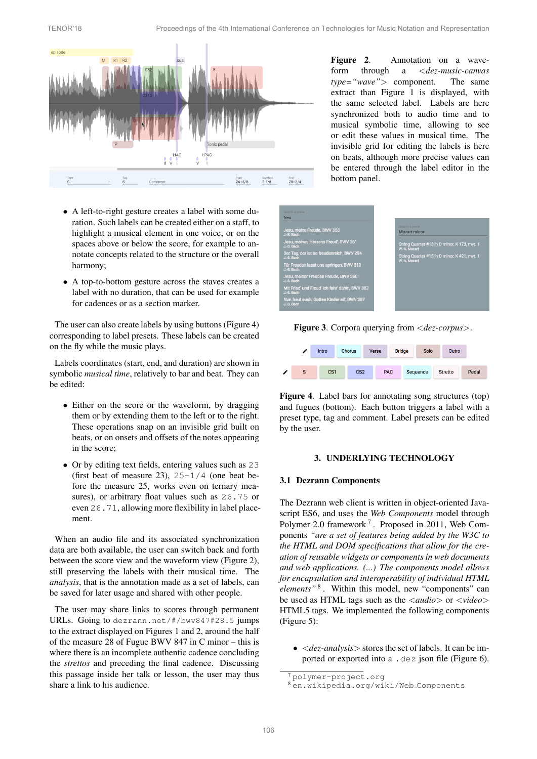

<span id="page-2-4"></span>Figure 2. Annotation on a waveform through a *<dez-music-canvas type="wave">* component. The same extract than Figure [1](#page-1-2) is displayed, with the same selected label. Labels are here synchronized both to audio time and to musical symbolic time, allowing to see or edit these values in musical time. The invisible grid for editing the labels is here on beats, although more precise values can be entered through the label editor in the bottom panel.

- *•* A left-to-right gesture creates a label with some duration. Such labels can be created either on a staff, to highlight a musical element in one voice, or on the spaces above or below the score, for example to annotate concepts related to the structure or the overall harmony;
- *•* A top-to-bottom gesture across the staves creates a label with no duration, that can be used for example for cadences or as a section marker.

The user can also create labels by using buttons (Figure [4\)](#page-2-3) corresponding to label presets. These labels can be created on the fly while the music plays.

Labels coordinates (start, end, and duration) are shown in symbolic *musical time*, relatively to bar and beat. They can be edited:

- Either on the score or the waveform, by dragging them or by extending them to the left or to the right. These operations snap on an invisible grid built on beats, or on onsets and offsets of the notes appearing in the score;
- Or by editing text fields, entering values such as 23 (first beat of measure 23),  $25-1/4$  (one beat before the measure 25, works even on ternary measures), or arbitrary float values such as 26.75 or even 26.71, allowing more flexibility in label placement.

When an audio file and its associated synchronization data are both available, the user can switch back and forth between the score view and the waveform view (Figure [2\)](#page-2-4), still preserving the labels with their musical time. The *analysis*, that is the annotation made as a set of labels, can be saved for later usage and shared with other people.

The user may share links to scores through permanent URLs. Going to dezrann.net/#/bwv847#28.5 jumps to the extract displayed on Figures [1](#page-1-2) and [2,](#page-2-4) around the half of the measure 28 of Fugue BWV 847 in C minor – this is where there is an incomplete authentic cadence concluding the *strettos* and preceding the final cadence. Discussing this passage inside her talk or lesson, the user may thus share a link to his audience.

<span id="page-2-2"></span>

Figure 3. Corpora querying from *<dez-corpus>*.

<span id="page-2-3"></span>

Figure 4. Label bars for annotating song structures (top) and fugues (bottom). Each button triggers a label with a preset type, tag and comment. Label presets can be edited by the user.

## 3. UNDERLYING TECHNOLOGY

#### <span id="page-2-1"></span><span id="page-2-0"></span>3.1 Dezrann Components

The Dezrann web client is written in object-oriented Javascript ES6, and uses the *Web Components* model through Polymer 2.0 framework [7](#page-2-5) . Proposed in 2011, Web Components *"are a set of features being added by the W3C to the HTML and DOM specifications that allow for the creation of reusable widgets or components in web documents and web applications. (...) The components model allows for encapsulation and interoperability of individual HTML elements"* [8](#page-2-6) . Within this model, new "components" can be used as HTML tags such as the *<audio>* or *<video>* HTML5 tags. We implemented the following components (Figure [5\)](#page-3-0):

*• <dez-analysis>* stores the set of labels. It can be imported or exported into a .dez json file (Figure [6\)](#page-3-1).

<span id="page-2-5"></span><sup>7</sup> [polymer-project.org](http://polymer-project.org)

<span id="page-2-6"></span><sup>8</sup> [en.wikipedia.org/wiki/Web](http://en.wikipedia.org/wiki/Web_Components) Components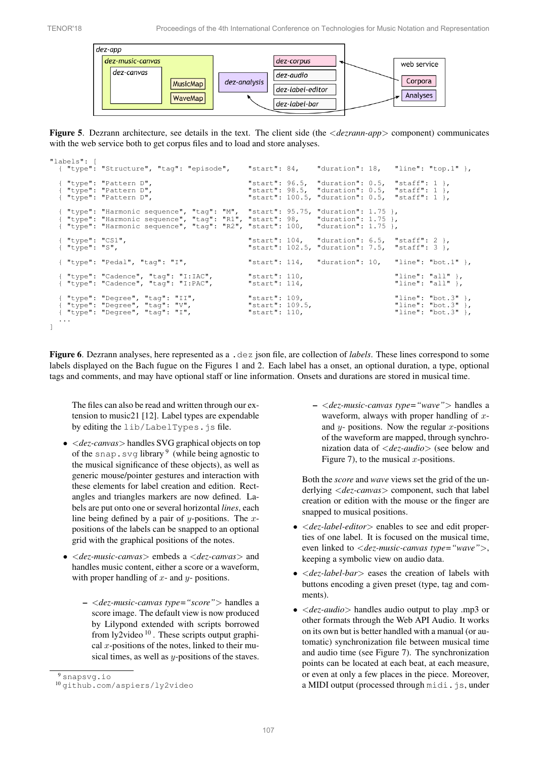

<span id="page-3-0"></span>Figure 5. Dezrann architecture, see details in the text. The client side (the *<dezrann-app>* component) communicates with the web service both to get corpus files and to load and store analyses.

```
"labels": [
   { "type": "Structure", "tag": "episode", "start": 84, "duration": 18, "line": "top.1" },
   { "type": "Pattern D", "start": 96.5, "duration": 0.5, "staff": 1 },
{ "type": "Pattern D", "start": 98.5, "duration": 0.5, "staff": 1 },
{ "type": "Pattern D", "start": 100.5, "duration": 0.5, "staff": 1 },
   { "type": "Harmonic sequence", "tag": "M", "start": 95.75, "duration": 1.75 },<br>{ "type": "Harmonic sequence", "tag": "R1", "start": 98,    "duration": 1.75 },<br>{ "type": "Harmonic sequence", "tag": "R2", "start": 100,   "du
   { "type": "CS1",<br>{ "type": "S", "start": 104, "duration": 6.5, "staff": 2 },<br>"start": 102.5, "duration": 7.5, "staff": 3 },
                                                                                                     "duration": 7.5,{ "type": "Pedal", "tag": "I", "start": 114, "duration": 10, "line": "bot.1" },
   { "type": "Cadence", "tag": "I:IAC", "start": 110, "line": "all" },
{ "type": "Cadence", "tag": "I:PAC", "start": 114, "line": "all" },
   { "type": "Degree", "tag": "II", "start": 109, "line": "bot.3" },
{ "type": "Degree", "tag": "V", "start": 109.5, "line": "bot.3" },
{ "type": "Degree", "tag": "I", "start": 110, "line": "bot.3" },
   ...
]
```
<span id="page-3-1"></span>Figure 6. Dezrann analyses, here represented as a .dez json file, are collection of *labels*. These lines correspond to some labels displayed on the Bach fugue on the Figures [1](#page-1-2) and [2.](#page-2-4) Each label has a onset, an optional duration, a type, optional tags and comments, and may have optional staff or line information. Onsets and durations are stored in musical time.

The files can also be read and written through our extension to music21 [\[12\]](#page-6-11). Label types are expendable by editing the lib/LabelTypes.js file.

- *• <dez-canvas>* handles SVG graphical objects on top of the snap. svg library  $9$  (while being agnostic to the musical significance of these objects), as well as generic mouse/pointer gestures and interaction with these elements for label creation and edition. Rectangles and triangles markers are now defined. Labels are put onto one or several horizontal *lines*, each line being defined by a pair of *y*-positions. The *x*positions of the labels can be snapped to an optional grid with the graphical positions of the notes.
- *• <dez-music-canvas>* embeds a *<dez-canvas>* and handles music content, either a score or a waveform, with proper handling of *x*- and *y*- positions.
	- *<dez-music-canvas type="score">* handles a score image. The default view is now produced by Lilypond extended with scripts borrowed from ly2video  $10$ . These scripts output graphical *x*-positions of the notes, linked to their musical times, as well as *y*-positions of the staves.

– *<dez-music-canvas type="wave">* handles a waveform, always with proper handling of *x*and *y*- positions. Now the regular *x*-positions of the waveform are mapped, through synchronization data of *<dez-audio>* (see below and Figure [7\)](#page-4-1), to the musical *x*-positions.

Both the *score* and *wave* views set the grid of the underlying *<dez-canvas>* component, such that label creation or edition with the mouse or the finger are snapped to musical positions.

- *• <dez-label-editor>* enables to see and edit properties of one label. It is focused on the musical time, even linked to *<dez-music-canvas type="wave">*, keeping a symbolic view on audio data.
- *• <dez-label-bar>* eases the creation of labels with buttons encoding a given preset (type, tag and comments).
- *• <dez-audio>* handles audio output to play .mp3 or other formats through the Web API Audio. It works on its own but is better handled with a manual (or automatic) synchronization file between musical time and audio time (see Figure [7\)](#page-4-1). The synchronization points can be located at each beat, at each measure, or even at only a few places in the piece. Moreover, a MIDI output (processed through midi.js, under

<span id="page-3-3"></span><span id="page-3-2"></span>

 $9$  [snapsvg.io](http://snapsvg.io)<br> $10$  qithub.com/aspiers/ly2video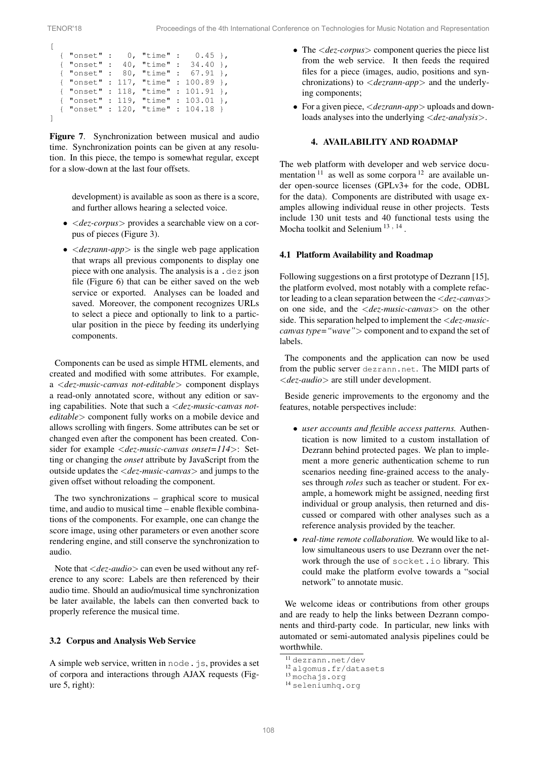<span id="page-4-1"></span>

|  | { "onset" : 40, "time" : 34.40 },   |  |  |  |
|--|-------------------------------------|--|--|--|
|  | { "onset" : 80, "time" : 67.91 },   |  |  |  |
|  | { "onset" : 117, "time" : 100.89 }, |  |  |  |
|  | { "onset" : 118, "time" : 101.91 }, |  |  |  |
|  | { "onset" : 119, "time" : 103.01 }, |  |  |  |
|  |                                     |  |  |  |
|  |                                     |  |  |  |

Figure 7. Synchronization between musical and audio time. Synchronization points can be given at any resolution. In this piece, the tempo is somewhat regular, except for a slow-down at the last four offsets.

> development) is available as soon as there is a score, and further allows hearing a selected voice.

- *• <dez-corpus>* provides a searchable view on a corpus of pieces (Figure [3\)](#page-2-2).
- *• <dezrann-app>* is the single web page application that wraps all previous components to display one piece with one analysis. The analysis is a .dez json file (Figure [6\)](#page-3-1) that can be either saved on the web service or exported. Analyses can be loaded and saved. Moreover, the component recognizes URLs to select a piece and optionally to link to a particular position in the piece by feeding its underlying components.

Components can be used as simple HTML elements, and created and modified with some attributes. For example, a *<dez-music-canvas not-editable>* component displays a read-only annotated score, without any edition or saving capabilities. Note that such a *<dez-music-canvas noteditable>* component fully works on a mobile device and allows scrolling with fingers. Some attributes can be set or changed even after the component has been created. Consider for example *<dez-music-canvas onset=114>*: Setting or changing the *onset* attribute by JavaScript from the outside updates the *<dez-music-canvas>* and jumps to the given offset without reloading the component.

The two synchronizations – graphical score to musical time, and audio to musical time – enable flexible combinations of the components. For example, one can change the score image, using other parameters or even another score rendering engine, and still conserve the synchronization to audio.

Note that *<dez-audio>* can even be used without any reference to any score: Labels are then referenced by their audio time. Should an audio/musical time synchronization be later available, the labels can then converted back to properly reference the musical time.

#### 3.2 Corpus and Analysis Web Service

A simple web service, written in node. js, provides a set of corpora and interactions through AJAX requests (Figure [5,](#page-3-0) right):

- *•* The *<dez-corpus>* component queries the piece list from the web service. It then feeds the required files for a piece (images, audio, positions and synchronizations) to *<dezrann-app>* and the underlying components;
- *•* For a given piece, *<dezrann-app>* uploads and downloads analyses into the underlying *<dez-analysis>*.

# 4. AVAILABILITY AND ROADMAP

<span id="page-4-0"></span>The web platform with developer and web service documentation  $11$  as well as some corpora  $12$  are available under open-source licenses (GPLv3+ for the code, ODBL for the data). Components are distributed with usage examples allowing individual reuse in other projects. Tests include 130 unit tests and 40 functional tests using the Mocha toolkit and Selenium [13](#page-4-4) *,* [14](#page-4-5) .

#### 4.1 Platform Availability and Roadmap

Following suggestions on a first prototype of Dezrann [\[15\]](#page-6-14), the platform evolved, most notably with a complete refactor leading to a clean separation between the *<dez-canvas>* on one side, and the *<dez-music-canvas>* on the other side. This separation helped to implement the *<dez-musiccanvas type="wave">* component and to expand the set of labels.

The components and the application can now be used from the public server [dezrann.net](http://dezrann.net). The MIDI parts of *<dez-audio>* are still under development.

Beside generic improvements to the ergonomy and the features, notable perspectives include:

- *• user accounts and flexible access patterns.* Authentication is now limited to a custom installation of Dezrann behind protected pages. We plan to implement a more generic authentication scheme to run scenarios needing fine-grained access to the analyses through *roles* such as teacher or student. For example, a homework might be assigned, needing first individual or group analysis, then returned and discussed or compared with other analyses such as a reference analysis provided by the teacher.
- *• real-time remote collaboration.* We would like to allow simultaneous users to use Dezrann over the network through the use of socket.io library. This could make the platform evolve towards a "social network" to annotate music.

We welcome ideas or contributions from other groups and are ready to help the links between Dezrann components and third-party code. In particular, new links with automated or semi-automated analysis pipelines could be worthwhile.

<span id="page-4-3"></span><span id="page-4-2"></span>

<sup>&</sup>lt;sup>11</sup> [dezrann.net/dev](http://dezrann.net/dev)<br><sup>12</sup> [algomus.fr/datasets](http://algomus.fr/datasets)<br><sup>13</sup> [mochajs.org](http://mochajs.org)<br><sup>14</sup> [seleniumhq.org](http://seleniumhq.org)

<span id="page-4-4"></span>

<span id="page-4-5"></span>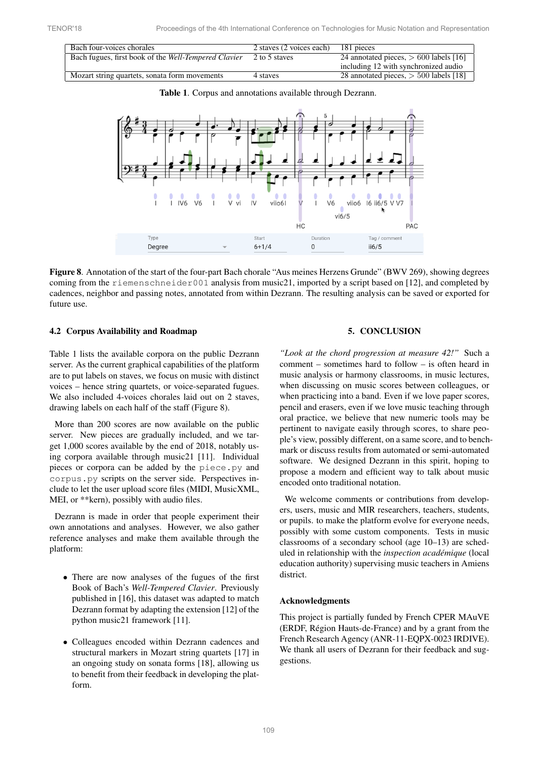| Bach four-voices chorales                            | 2 staves (2 voices each) | 181 pieces                               |  |
|------------------------------------------------------|--------------------------|------------------------------------------|--|
| Bach fugues, first book of the Well-Tempered Clavier | 2 to 5 staves            | 24 annotated pieces, $> 600$ labels [16] |  |
|                                                      |                          | including 12 with synchronized audio     |  |
| Mozart string quartets, sonata form movements        | 4 staves                 | 28 annotated pieces, $>$ 500 labels [18] |  |

<span id="page-5-1"></span>Table 1. Corpus and annotations available through Dezrann.



<span id="page-5-2"></span>Figure 8. Annotation of the start of the four-part Bach chorale "Aus meines Herzens Grunde" (BWV 269), showing degrees coming from the riemenschneider001 analysis from music21, imported by a script based on [\[12\]](#page-6-11), and completed by cadences, neighbor and passing notes, annotated from within Dezrann. The resulting analysis can be saved or exported for future use.

# 4.2 Corpus Availability and Roadmap

Table [1](#page-5-1) lists the available corpora on the public Dezrann server. As the current graphical capabilities of the platform are to put labels on staves, we focus on music with distinct voices – hence string quartets, or voice-separated fugues. We also included 4-voices chorales laid out on 2 staves, drawing labels on each half of the staff (Figure [8\)](#page-5-2).

More than 200 scores are now available on the public server. New pieces are gradually included, and we target 1,000 scores available by the end of 2018, notably using corpora available through music21 [\[11\]](#page-6-10). Individual pieces or corpora can be added by the piece.py and corpus.py scripts on the server side. Perspectives include to let the user upload score files (MIDI, MusicXML, MEI, or \*\*kern), possibly with audio files.

Dezrann is made in order that people experiment their own annotations and analyses. However, we also gather reference analyses and make them available through the platform:

- There are now analyses of the fugues of the first Book of Bach's *Well-Tempered Clavier*. Previously published in [\[16\]](#page-6-15), this dataset was adapted to match Dezrann format by adapting the extension [\[12\]](#page-6-11) of the python music21 framework [\[11\]](#page-6-10).
- *•* Colleagues encoded within Dezrann cadences and structural markers in Mozart string quartets [\[17\]](#page-6-17) in an ongoing study on sonata forms [\[18\]](#page-6-16), allowing us to benefit from their feedback in developing the platform.

## 5. CONCLUSION

<span id="page-5-0"></span>*"Look at the chord progression at measure 42!"* Such a comment – sometimes hard to follow – is often heard in music analysis or harmony classrooms, in music lectures, when discussing on music scores between colleagues, or when practicing into a band. Even if we love paper scores, pencil and erasers, even if we love music teaching through oral practice, we believe that new numeric tools may be pertinent to navigate easily through scores, to share people's view, possibly different, on a same score, and to benchmark or discuss results from automated or semi-automated software. We designed Dezrann in this spirit, hoping to propose a modern and efficient way to talk about music encoded onto traditional notation.

We welcome comments or contributions from developers, users, music and MIR researchers, teachers, students, or pupils. to make the platform evolve for everyone needs, possibly with some custom components. Tests in music classrooms of a secondary school (age 10–13) are scheduled in relationship with the *inspection academique ´* (local education authority) supervising music teachers in Amiens district.

#### Acknowledgments

This project is partially funded by French CPER MAuVE (ERDF, Région Hauts-de-France) and by a grant from the French Research Agency (ANR-11-EQPX-0023 IRDIVE). We thank all users of Dezrann for their feedback and suggestions.